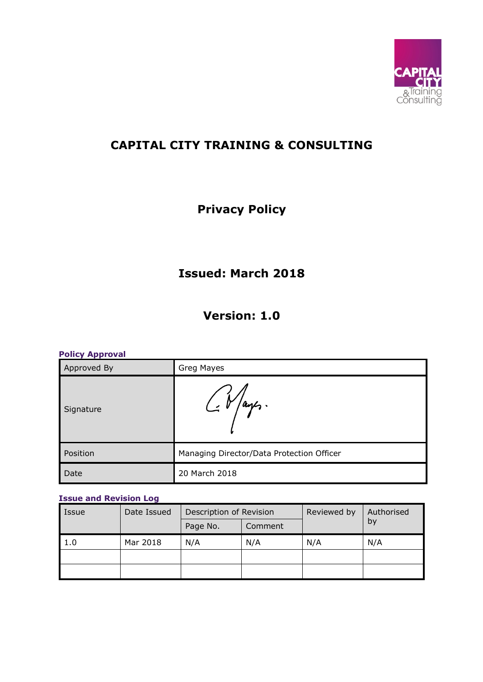

## **CAPITAL CITY TRAINING & CONSULTING**

# **Privacy Policy**

## **Issued: March 2018**

### **Version: 1.0**

| <b>Policy Approval</b> |                                           |  |  |  |
|------------------------|-------------------------------------------|--|--|--|
| Approved By            | Greg Mayes                                |  |  |  |
| Signature              | $\frac{1}{2}V/a$ rs.                      |  |  |  |
| Position               | Managing Director/Data Protection Officer |  |  |  |
| Date                   | 20 March 2018                             |  |  |  |

#### **Issue and Revision Log**

| Issue | Date Issued | Description of Revision |         | Reviewed by | Authorised |
|-------|-------------|-------------------------|---------|-------------|------------|
|       |             | Page No.                | Comment |             | by         |
| 1.0   | Mar 2018    | N/A                     | N/A     | N/A         | N/A        |
|       |             |                         |         |             |            |
|       |             |                         |         |             |            |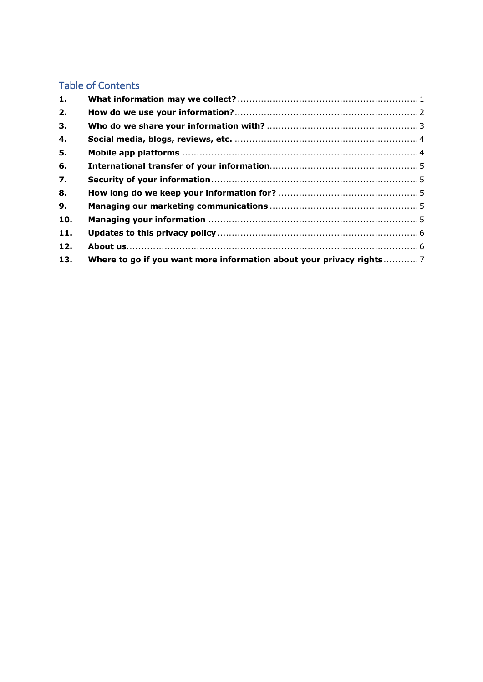### Table of Contents

| 1.  |                                                                     |  |
|-----|---------------------------------------------------------------------|--|
| 2.  |                                                                     |  |
| З.  |                                                                     |  |
| 4.  |                                                                     |  |
| 5.  |                                                                     |  |
| 6.  |                                                                     |  |
| 7.  |                                                                     |  |
| 8.  |                                                                     |  |
| 9.  |                                                                     |  |
| 10. |                                                                     |  |
| 11. |                                                                     |  |
| 12. |                                                                     |  |
| 13. | Where to go if you want more information about your privacy rights7 |  |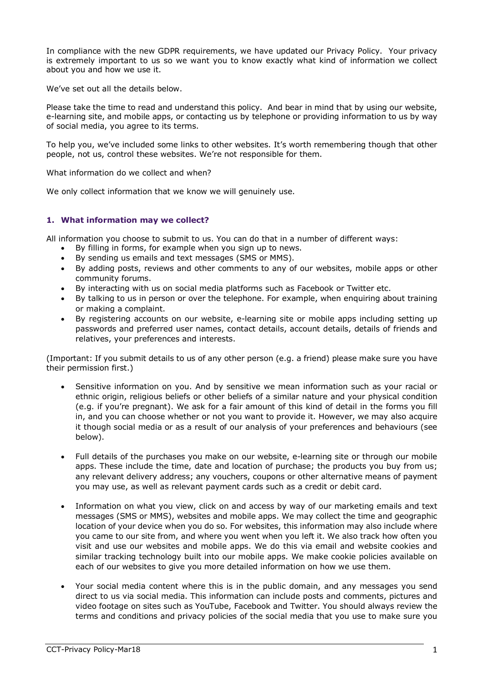In compliance with the new GDPR requirements, we have updated our Privacy Policy. Your privacy is extremely important to us so we want you to know exactly what kind of information we collect about you and how we use it.

We've set out all the details below.

Please take the time to read and understand this policy. And bear in mind that by using our website, e-learning site, and mobile apps, or contacting us by telephone or providing information to us by way of social media, you agree to its terms.

To help you, we've included some links to other websites. It's worth remembering though that other people, not us, control these websites. We're not responsible for them.

What information do we collect and when?

We only collect information that we know we will genuinely use.

#### **1. What information may we collect?**

All information you choose to submit to us. You can do that in a number of different ways:

- By filling in forms, for example when you sign up to news.
- By sending us emails and text messages (SMS or MMS).
- By adding posts, reviews and other comments to any of our websites, mobile apps or other community forums.
- By interacting with us on social media platforms such as Facebook or Twitter etc.
- By talking to us in person or over the telephone. For example, when enquiring about training or making a complaint.
- By registering accounts on our website, e-learning site or mobile apps including setting up passwords and preferred user names, contact details, account details, details of friends and relatives, your preferences and interests.

(Important: If you submit details to us of any other person (e.g. a friend) please make sure you have their permission first.)

- Sensitive information on you. And by sensitive we mean information such as your racial or ethnic origin, religious beliefs or other beliefs of a similar nature and your physical condition (e.g. if you're pregnant). We ask for a fair amount of this kind of detail in the forms you fill in, and you can choose whether or not you want to provide it. However, we may also acquire it though social media or as a result of our analysis of your preferences and behaviours (see below).
- Full details of the purchases you make on our website, e-learning site or through our mobile apps. These include the time, date and location of purchase; the products you buy from us; any relevant delivery address; any vouchers, coupons or other alternative means of payment you may use, as well as relevant payment cards such as a credit or debit card.
- Information on what you view, click on and access by way of our marketing emails and text messages (SMS or MMS), websites and mobile apps. We may collect the time and geographic location of your device when you do so. For websites, this information may also include where you came to our site from, and where you went when you left it. We also track how often you visit and use our websites and mobile apps. We do this via email and website cookies and similar tracking technology built into our mobile apps. We make cookie policies available on each of our websites to give you more detailed information on how we use them.
- Your social media content where this is in the public domain, and any messages you send direct to us via social media. This information can include posts and comments, pictures and video footage on sites such as YouTube, Facebook and Twitter. You should always review the terms and conditions and privacy policies of the social media that you use to make sure you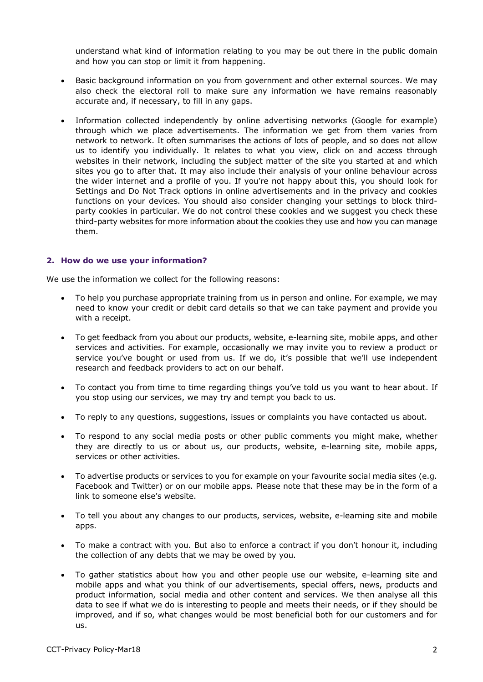understand what kind of information relating to you may be out there in the public domain and how you can stop or limit it from happening.

- Basic background information on you from government and other external sources. We may also check the electoral roll to make sure any information we have remains reasonably accurate and, if necessary, to fill in any gaps.
- Information collected independently by online advertising networks (Google for example) through which we place advertisements. The information we get from them varies from network to network. It often summarises the actions of lots of people, and so does not allow us to identify you individually. It relates to what you view, click on and access through websites in their network, including the subject matter of the site you started at and which sites you go to after that. It may also include their analysis of your online behaviour across the wider internet and a profile of you. If you're not happy about this, you should look for Settings and Do Not Track options in online advertisements and in the privacy and cookies functions on your devices. You should also consider changing your settings to block thirdparty cookies in particular. We do not control these cookies and we suggest you check these third-party websites for more information about the cookies they use and how you can manage them.

#### **2. How do we use your information?**

We use the information we collect for the following reasons:

- To help you purchase appropriate training from us in person and online. For example, we may need to know your credit or debit card details so that we can take payment and provide you with a receipt.
- To get feedback from you about our products, website, e-learning site, mobile apps, and other services and activities. For example, occasionally we may invite you to review a product or service you've bought or used from us. If we do, it's possible that we'll use independent research and feedback providers to act on our behalf.
- To contact you from time to time regarding things you've told us you want to hear about. If you stop using our services, we may try and tempt you back to us.
- To reply to any questions, suggestions, issues or complaints you have contacted us about.
- To respond to any social media posts or other public comments you might make, whether they are directly to us or about us, our products, website, e-learning site, mobile apps, services or other activities.
- To advertise products or services to you for example on your favourite social media sites (e.g. Facebook and Twitter) or on our mobile apps. Please note that these may be in the form of a link to someone else's website.
- To tell you about any changes to our products, services, website, e-learning site and mobile apps.
- To make a contract with you. But also to enforce a contract if you don't honour it, including the collection of any debts that we may be owed by you.
- To gather statistics about how you and other people use our website, e-learning site and mobile apps and what you think of our advertisements, special offers, news, products and product information, social media and other content and services. We then analyse all this data to see if what we do is interesting to people and meets their needs, or if they should be improved, and if so, what changes would be most beneficial both for our customers and for us.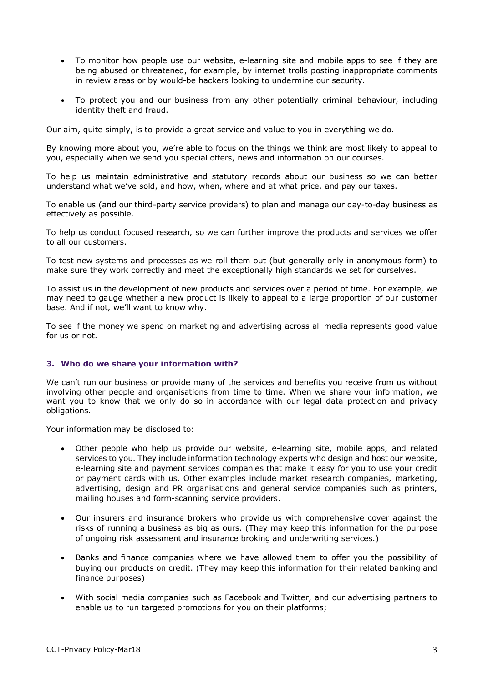- To monitor how people use our website, e-learning site and mobile apps to see if they are being abused or threatened, for example, by internet trolls posting inappropriate comments in review areas or by would-be hackers looking to undermine our security.
- To protect you and our business from any other potentially criminal behaviour, including identity theft and fraud.

Our aim, quite simply, is to provide a great service and value to you in everything we do.

By knowing more about you, we're able to focus on the things we think are most likely to appeal to you, especially when we send you special offers, news and information on our courses.

To help us maintain administrative and statutory records about our business so we can better understand what we've sold, and how, when, where and at what price, and pay our taxes.

To enable us (and our third-party service providers) to plan and manage our day-to-day business as effectively as possible.

To help us conduct focused research, so we can further improve the products and services we offer to all our customers.

To test new systems and processes as we roll them out (but generally only in anonymous form) to make sure they work correctly and meet the exceptionally high standards we set for ourselves.

To assist us in the development of new products and services over a period of time. For example, we may need to gauge whether a new product is likely to appeal to a large proportion of our customer base. And if not, we'll want to know why.

To see if the money we spend on marketing and advertising across all media represents good value for us or not.

#### **3. Who do we share your information with?**

We can't run our business or provide many of the services and benefits you receive from us without involving other people and organisations from time to time. When we share your information, we want you to know that we only do so in accordance with our legal data protection and privacy obligations.

Your information may be disclosed to:

- Other people who help us provide our website, e-learning site, mobile apps, and related services to you. They include information technology experts who design and host our website, e-learning site and payment services companies that make it easy for you to use your credit or payment cards with us. Other examples include market research companies, marketing, advertising, design and PR organisations and general service companies such as printers, mailing houses and form-scanning service providers.
- Our insurers and insurance brokers who provide us with comprehensive cover against the risks of running a business as big as ours. (They may keep this information for the purpose of ongoing risk assessment and insurance broking and underwriting services.)
- Banks and finance companies where we have allowed them to offer you the possibility of buying our products on credit. (They may keep this information for their related banking and finance purposes)
- With social media companies such as Facebook and Twitter, and our advertising partners to enable us to run targeted promotions for you on their platforms;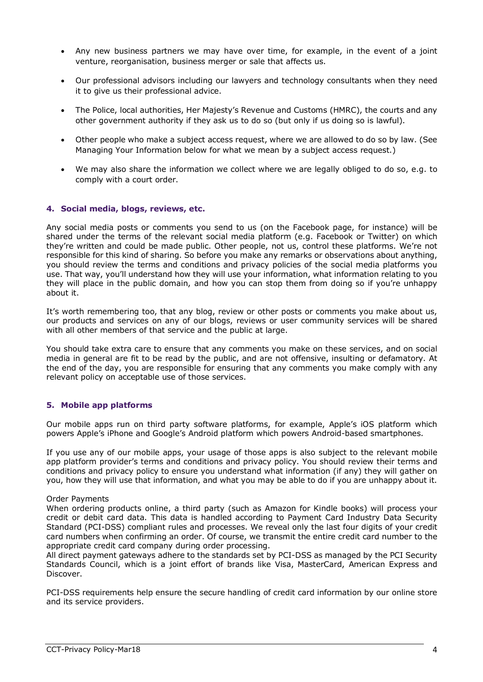- Any new business partners we may have over time, for example, in the event of a joint venture, reorganisation, business merger or sale that affects us.
- Our professional advisors including our lawyers and technology consultants when they need it to give us their professional advice.
- The Police, local authorities, Her Majesty's Revenue and Customs (HMRC), the courts and any other government authority if they ask us to do so (but only if us doing so is lawful).
- Other people who make a subject access request, where we are allowed to do so by law. (See Managing Your Information below for what we mean by a subject access request.)
- We may also share the information we collect where we are legally obliged to do so, e.g. to comply with a court order.

#### **4. Social media, blogs, reviews, etc.**

Any social media posts or comments you send to us (on the Facebook page, for instance) will be shared under the terms of the relevant social media platform (e.g. Facebook or Twitter) on which they're written and could be made public. Other people, not us, control these platforms. We're not responsible for this kind of sharing. So before you make any remarks or observations about anything, you should review the terms and conditions and privacy policies of the social media platforms you use. That way, you'll understand how they will use your information, what information relating to you they will place in the public domain, and how you can stop them from doing so if you're unhappy about it.

It's worth remembering too, that any blog, review or other posts or comments you make about us, our products and services on any of our blogs, reviews or user community services will be shared with all other members of that service and the public at large.

You should take extra care to ensure that any comments you make on these services, and on social media in general are fit to be read by the public, and are not offensive, insulting or defamatory. At the end of the day, you are responsible for ensuring that any comments you make comply with any relevant policy on acceptable use of those services.

#### **5. Mobile app platforms**

Our mobile apps run on third party software platforms, for example, Apple's iOS platform which powers Apple's iPhone and Google's Android platform which powers Android-based smartphones.

If you use any of our mobile apps, your usage of those apps is also subject to the relevant mobile app platform provider's terms and conditions and privacy policy. You should review their terms and conditions and privacy policy to ensure you understand what information (if any) they will gather on you, how they will use that information, and what you may be able to do if you are unhappy about it.

#### Order Payments

When ordering products online, a third party (such as Amazon for Kindle books) will process your credit or debit card data. This data is handled according to Payment Card Industry Data Security Standard (PCI-DSS) compliant rules and processes. We reveal only the last four digits of your credit card numbers when confirming an order. Of course, we transmit the entire credit card number to the appropriate credit card company during order processing.

All direct payment gateways adhere to the standards set by PCI-DSS as managed by the PCI Security Standards Council, which is a joint effort of brands like Visa, MasterCard, American Express and Discover.

PCI-DSS requirements help ensure the secure handling of credit card information by our online store and its service providers.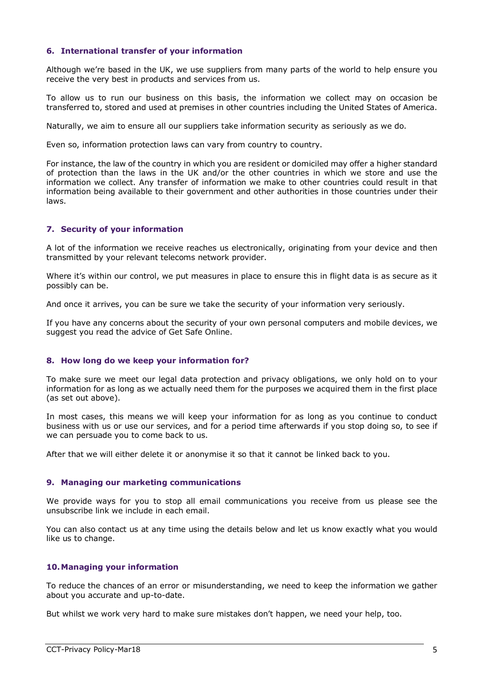#### **6. International transfer of your information**

Although we're based in the UK, we use suppliers from many parts of the world to help ensure you receive the very best in products and services from us.

To allow us to run our business on this basis, the information we collect may on occasion be transferred to, stored and used at premises in other countries including the United States of America.

Naturally, we aim to ensure all our suppliers take information security as seriously as we do.

Even so, information protection laws can vary from country to country.

For instance, the law of the country in which you are resident or domiciled may offer a higher standard of protection than the laws in the UK and/or the other countries in which we store and use the information we collect. Any transfer of information we make to other countries could result in that information being available to their government and other authorities in those countries under their laws.

#### **7. Security of your information**

A lot of the information we receive reaches us electronically, originating from your device and then transmitted by your relevant telecoms network provider.

Where it's within our control, we put measures in place to ensure this in flight data is as secure as it possibly can be.

And once it arrives, you can be sure we take the security of your information very seriously.

If you have any concerns about the security of your own personal computers and mobile devices, we suggest you read the advice of Get Safe Online.

#### **8. How long do we keep your information for?**

To make sure we meet our legal data protection and privacy obligations, we only hold on to your information for as long as we actually need them for the purposes we acquired them in the first place (as set out above).

In most cases, this means we will keep your information for as long as you continue to conduct business with us or use our services, and for a period time afterwards if you stop doing so, to see if we can persuade you to come back to us.

After that we will either delete it or anonymise it so that it cannot be linked back to you.

#### **9. Managing our marketing communications**

We provide ways for you to stop all email communications you receive from us please see the unsubscribe link we include in each email.

You can also contact us at any time using the details below and let us know exactly what you would like us to change.

#### **10.Managing your information**

To reduce the chances of an error or misunderstanding, we need to keep the information we gather about you accurate and up-to-date.

But whilst we work very hard to make sure mistakes don't happen, we need your help, too.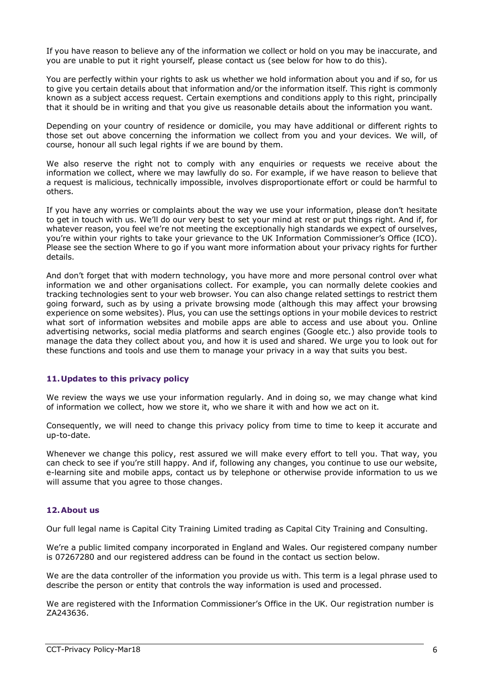If you have reason to believe any of the information we collect or hold on you may be inaccurate, and you are unable to put it right yourself, please contact us (see below for how to do this).

You are perfectly within your rights to ask us whether we hold information about you and if so, for us to give you certain details about that information and/or the information itself. This right is commonly known as a subject access request. Certain exemptions and conditions apply to this right, principally that it should be in writing and that you give us reasonable details about the information you want.

Depending on your country of residence or domicile, you may have additional or different rights to those set out above concerning the information we collect from you and your devices. We will, of course, honour all such legal rights if we are bound by them.

We also reserve the right not to comply with any enguiries or requests we receive about the information we collect, where we may lawfully do so. For example, if we have reason to believe that a request is malicious, technically impossible, involves disproportionate effort or could be harmful to others.

If you have any worries or complaints about the way we use your information, please don't hesitate to get in touch with us. We'll do our very best to set your mind at rest or put things right. And if, for whatever reason, you feel we're not meeting the exceptionally high standards we expect of ourselves, you're within your rights to take your grievance to the UK Information Commissioner's Office (ICO). Please see the section Where to go if you want more information about your privacy rights for further details.

And don't forget that with modern technology, you have more and more personal control over what information we and other organisations collect. For example, you can normally delete cookies and tracking technologies sent to your web browser. You can also change related settings to restrict them going forward, such as by using a private browsing mode (although this may affect your browsing experience on some websites). Plus, you can use the settings options in your mobile devices to restrict what sort of information websites and mobile apps are able to access and use about you. Online advertising networks, social media platforms and search engines (Google etc.) also provide tools to manage the data they collect about you, and how it is used and shared. We urge you to look out for these functions and tools and use them to manage your privacy in a way that suits you best.

#### **11.Updates to this privacy policy**

We review the ways we use your information regularly. And in doing so, we may change what kind of information we collect, how we store it, who we share it with and how we act on it.

Consequently, we will need to change this privacy policy from time to time to keep it accurate and up-to-date.

Whenever we change this policy, rest assured we will make every effort to tell you. That way, you can check to see if you're still happy. And if, following any changes, you continue to use our website, e-learning site and mobile apps, contact us by telephone or otherwise provide information to us we will assume that you agree to those changes.

#### **12.About us**

Our full legal name is Capital City Training Limited trading as Capital City Training and Consulting.

We're a public limited company incorporated in England and Wales. Our registered company number is 07267280 and our registered address can be found in the contact us section below.

We are the data controller of the information you provide us with. This term is a legal phrase used to describe the person or entity that controls the way information is used and processed.

We are registered with the Information Commissioner's Office in the UK. Our registration number is ZA243636.